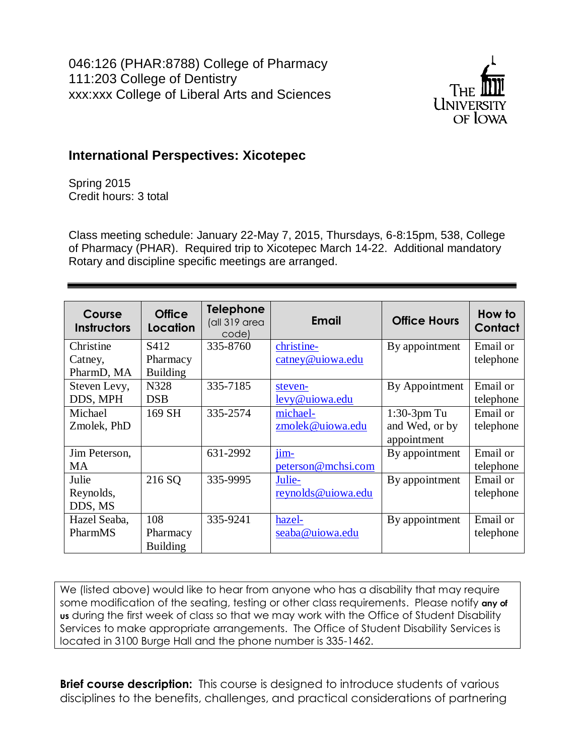

# **International Perspectives: Xicotepec**

Spring 2015 Credit hours: 3 total

Class meeting schedule: January 22-May 7, 2015, Thursdays, 6-8:15pm, 538, College of Pharmacy (PHAR). Required trip to Xicotepec March 14-22. Additional mandatory Rotary and discipline specific meetings are arranged.

| Course<br><b>Instructors</b> | <b>Office</b><br>Location | <b>Telephone</b><br>(all 319 area<br>code) | <b>Email</b>       | <b>Office Hours</b> | How to<br>Contact |
|------------------------------|---------------------------|--------------------------------------------|--------------------|---------------------|-------------------|
| Christine                    | S412                      | 335-8760                                   | christine-         | By appointment      | Email or          |
| Catney,                      | Pharmacy                  |                                            | catney@ujowa.edu   |                     | telephone         |
| PharmD, MA                   | <b>Building</b>           |                                            |                    |                     |                   |
| Steven Levy,                 | N328                      | 335-7185                                   | steven-            | By Appointment      | Email or          |
| DDS, MPH                     | <b>DSB</b>                |                                            | levy@uiowa.edu     |                     | telephone         |
| Michael                      | 169 SH                    | 335-2574                                   | michael-           | $1:30-3$ pm Tu      | Email or          |
| Zmolek, PhD                  |                           |                                            | zmolek@uiowa.edu   | and Wed, or by      | telephone         |
|                              |                           |                                            |                    | appointment         |                   |
| Jim Peterson,                |                           | 631-2992                                   | $\lim_{ }$         | By appointment      | Email or          |
| <b>MA</b>                    |                           |                                            | peterson@mchsi.com |                     | telephone         |
| Julie                        | 216 SQ                    | 335-9995                                   | Julie-             | By appointment      | Email or          |
| Reynolds,                    |                           |                                            | reynolds@ujowa.edu |                     | telephone         |
| DDS, MS                      |                           |                                            |                    |                     |                   |
| Hazel Seaba,                 | 108                       | 335-9241                                   | hazel-             | By appointment      | Email or          |
| PharmMS                      | Pharmacy                  |                                            | seaba@uiowa.edu    |                     | telephone         |
|                              | <b>Building</b>           |                                            |                    |                     |                   |

We (listed above) would like to hear from anyone who has a disability that may require some modification of the seating, testing or other class requirements. Please notify **any of us** during the first week of class so that we may work with the Office of Student Disability Services to make appropriate arrangements. The Office of Student Disability Services is located in 3100 Burge Hall and the phone number is 335-1462.

**Brief course description:** This course is designed to introduce students of various disciplines to the benefits, challenges, and practical considerations of partnering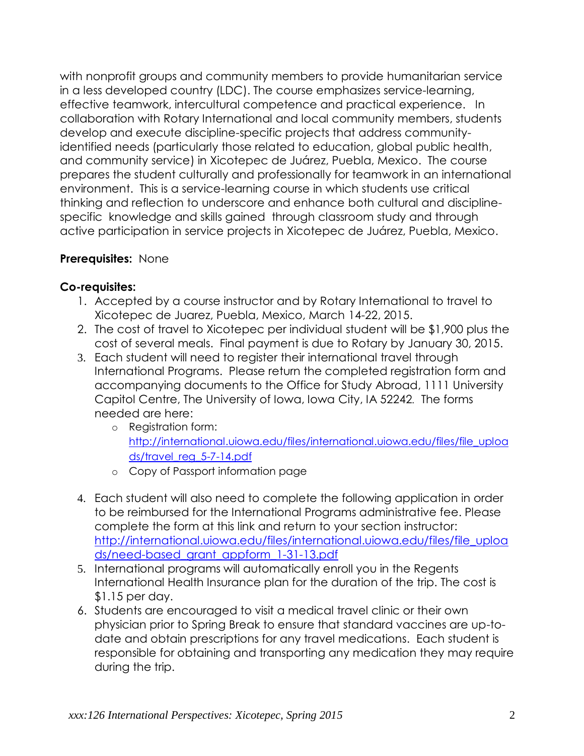with nonprofit groups and community members to provide humanitarian service in a less developed country (LDC). The course emphasizes service-learning, effective teamwork, intercultural competence and practical experience. In collaboration with Rotary International and local community members, students develop and execute discipline-specific projects that address communityidentified needs (particularly those related to education, global public health, and community service) in Xicotepec de Juárez, Puebla, Mexico. The course prepares the student culturally and professionally for teamwork in an international environment. This is a service-learning course in which students use critical thinking and reflection to underscore and enhance both cultural and disciplinespecific knowledge and skills gained through classroom study and through active participation in service projects in Xicotepec de Juárez, Puebla, Mexico.

# **Prerequisites:** None

# **Co-requisites:**

- 1. Accepted by a course instructor and by Rotary International to travel to Xicotepec de Juarez, Puebla, Mexico, March 14-22, 2015.
- 2. The cost of travel to Xicotepec per individual student will be \$1,900 plus the cost of several meals. Final payment is due to Rotary by January 30, 2015.
- 3. Each student will need to register their international travel through International Programs. Please return the completed registration form and accompanying documents to the Office for Study Abroad, 1111 University Capitol Centre, The University of Iowa, Iowa City, IA 52242*.* The forms needed are here:
	- o Registration form: [http://international.uiowa.edu/files/international.uiowa.edu/files/file\\_uploa](http://international.uiowa.edu/files/international.uiowa.edu/files/file_uploads/travel_reg_5-7-14.pdf) [ds/travel\\_reg\\_5-7-14.pdf](http://international.uiowa.edu/files/international.uiowa.edu/files/file_uploads/travel_reg_5-7-14.pdf)
	- o Copy of Passport information page
- 4. Each student will also need to complete the following application in order to be reimbursed for the International Programs administrative fee. Please complete the form at this link and return to your section instructor: [http://international.uiowa.edu/files/international.uiowa.edu/files/file\\_uploa](http://international.uiowa.edu/files/international.uiowa.edu/files/file_uploads/need-based_grant_appform_1-31-13.pdf) [ds/need-based\\_grant\\_appform\\_1-31-13.pdf](http://international.uiowa.edu/files/international.uiowa.edu/files/file_uploads/need-based_grant_appform_1-31-13.pdf)
- 5. International programs will automatically enroll you in the Regents International Health Insurance plan for the duration of the trip. The cost is \$1.15 per day.
- 6. Students are encouraged to visit a medical travel clinic or their own physician prior to Spring Break to ensure that standard vaccines are up-todate and obtain prescriptions for any travel medications. Each student is responsible for obtaining and transporting any medication they may require during the trip.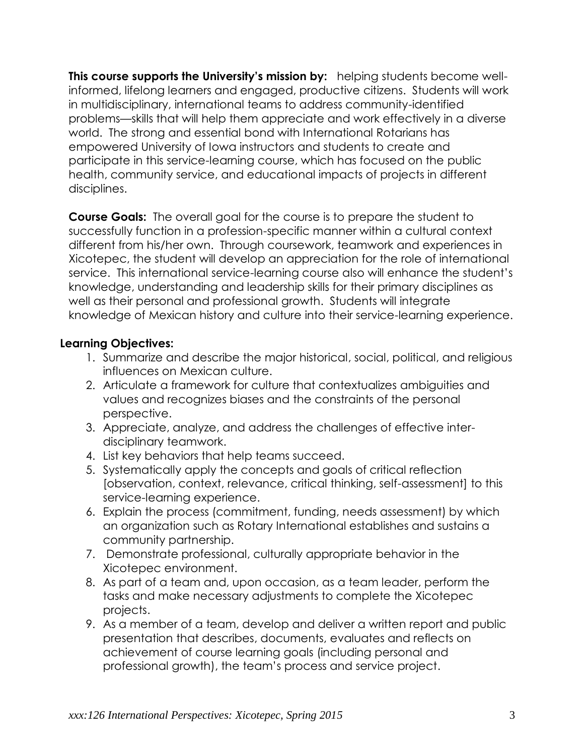**This course supports the University's mission by:** helping students become wellinformed, lifelong learners and engaged, productive citizens. Students will work in multidisciplinary, international teams to address community-identified problems—skills that will help them appreciate and work effectively in a diverse world. The strong and essential bond with International Rotarians has empowered University of Iowa instructors and students to create and participate in this service-learning course, which has focused on the public health, community service, and educational impacts of projects in different disciplines.

**Course Goals:** The overall goal for the course is to prepare the student to successfully function in a profession-specific manner within a cultural context different from his/her own. Through coursework, teamwork and experiences in Xicotepec, the student will develop an appreciation for the role of international service. This international service-learning course also will enhance the student's knowledge, understanding and leadership skills for their primary disciplines as well as their personal and professional growth. Students will integrate knowledge of Mexican history and culture into their service-learning experience.

# **Learning Objectives:**

- 1. Summarize and describe the major historical, social, political, and religious influences on Mexican culture.
- 2. Articulate a framework for culture that contextualizes ambiguities and values and recognizes biases and the constraints of the personal perspective.
- 3. Appreciate, analyze, and address the challenges of effective interdisciplinary teamwork.
- 4. List key behaviors that help teams succeed.
- 5. Systematically apply the concepts and goals of critical reflection [observation, context, relevance, critical thinking, self-assessment] to this service-learning experience.
- 6. Explain the process (commitment, funding, needs assessment) by which an organization such as Rotary International establishes and sustains a community partnership.
- 7. Demonstrate professional, culturally appropriate behavior in the Xicotepec environment.
- 8. As part of a team and, upon occasion, as a team leader, perform the tasks and make necessary adjustments to complete the Xicotepec projects.
- 9. As a member of a team, develop and deliver a written report and public presentation that describes, documents, evaluates and reflects on achievement of course learning goals (including personal and professional growth), the team's process and service project.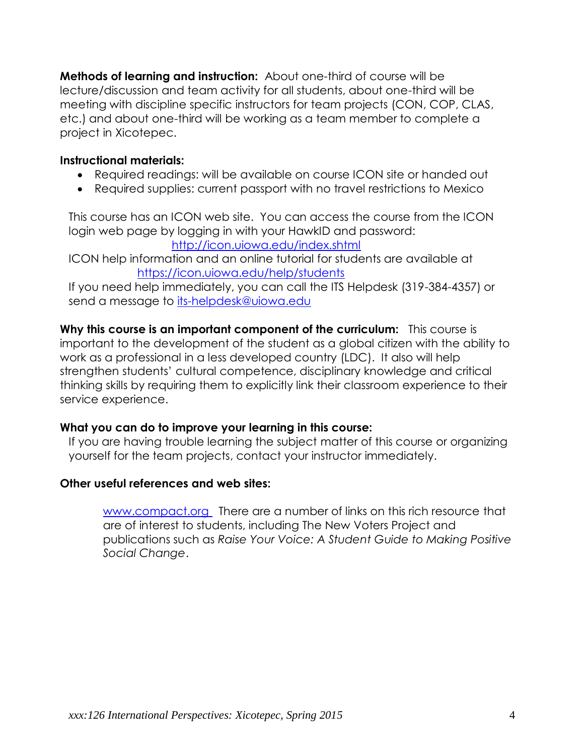**Methods of learning and instruction:** About one-third of course will be lecture/discussion and team activity for all students, about one-third will be meeting with discipline specific instructors for team projects (CON, COP, CLAS, etc.) and about one-third will be working as a team member to complete a project in Xicotepec.

## **Instructional materials:**

- Required readings: will be available on course ICON site or handed out
- Required supplies: current passport with no travel restrictions to Mexico

This course has an ICON web site. You can access the course from the ICON login web page by logging in with your HawkID and password:

<http://icon.uiowa.edu/index.shtml>

ICON help information and an online tutorial for students are available at <https://icon.uiowa.edu/help/students>

If you need help immediately, you can call the ITS Helpdesk (319-384-4357) or send a message to [its-helpdesk@uiowa.edu](file:///C:/Users/hseaba/Documents/Docs100/COLLEGE/046126/2012/Syllabus/its-helpdesk@uiowa.edu)

**Why this course is an important component of the curriculum:** This course is important to the development of the student as a global citizen with the ability to work as a professional in a less developed country (LDC). It also will help strengthen students' cultural competence, disciplinary knowledge and critical thinking skills by requiring them to explicitly link their classroom experience to their service experience.

### **What you can do to improve your learning in this course:**

If you are having trouble learning the subject matter of this course or organizing yourself for the team projects, contact your instructor immediately.

### **Other useful references and web sites:**

[www.compact.org](http://www.compact.org/) There are a number of links on this rich resource that are of interest to students, including The New Voters Project and publications such as *[Raise Your Voice: A Student Guide to Making Positive](http://www.compact.org/publications/detail/raise_your_voice/)  [Social Change](http://www.compact.org/publications/detail/raise_your_voice/)*.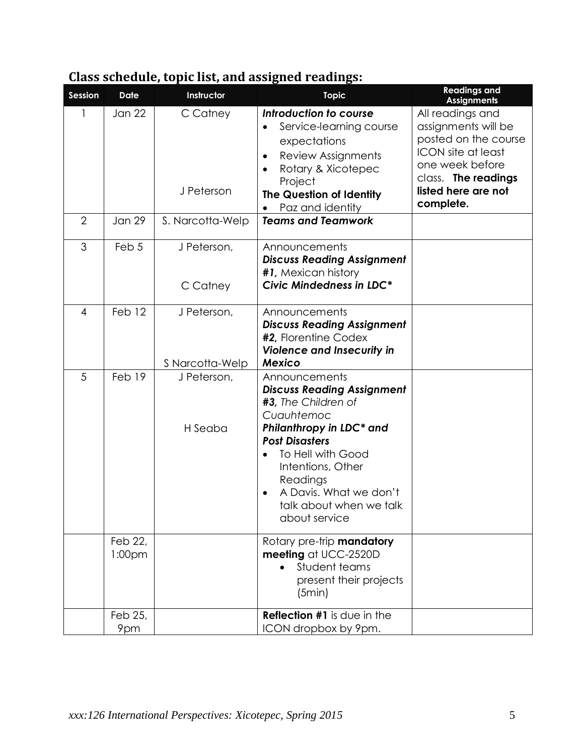| Class schedule, topic list, and assigned readings: |  |  |
|----------------------------------------------------|--|--|
|                                                    |  |  |

| Session        | <b>Date</b>                   | Instructor                     | <b>Topic</b>                                                                                                                                                                                                                                                             | <b>Readings and</b><br><b>Assignments</b>                                                                                                                                  |
|----------------|-------------------------------|--------------------------------|--------------------------------------------------------------------------------------------------------------------------------------------------------------------------------------------------------------------------------------------------------------------------|----------------------------------------------------------------------------------------------------------------------------------------------------------------------------|
|                | <b>Jan 22</b>                 | C Catney<br>J Peterson         | Introduction to course<br>Service-learning course<br>expectations<br>Review Assignments<br>$\bullet$<br>Rotary & Xicotepec<br>$\bullet$<br>Project<br>The Question of Identity<br>Paz and identity                                                                       | All readings and<br>assignments will be<br>posted on the course<br><b>ICON</b> site at least<br>one week before<br>class. The readings<br>listed here are not<br>complete. |
| $\overline{2}$ | <b>Jan 29</b>                 | S. Narcotta-Welp               | <b>Teams and Teamwork</b>                                                                                                                                                                                                                                                |                                                                                                                                                                            |
| 3              | Feb 5                         | J Peterson,<br>C Catney        | Announcements<br><b>Discuss Reading Assignment</b><br>#1, Mexican history<br>Civic Mindedness in LDC*                                                                                                                                                                    |                                                                                                                                                                            |
| $\overline{4}$ | Feb 12                        | J Peterson,<br>S Narcotta-Welp | Announcements<br><b>Discuss Reading Assignment</b><br>#2, Florentine Codex<br><b>Violence and Insecurity in</b><br><b>Mexico</b>                                                                                                                                         |                                                                                                                                                                            |
| 5              | Feb 19                        | J Peterson,<br>H Seaba         | Announcements<br><b>Discuss Reading Assignment</b><br>#3, The Children of<br>Cuauhtemoc<br>Philanthropy in LDC* and<br><b>Post Disasters</b><br>To Hell with Good<br>Intentions, Other<br>Readings<br>A Davis. What we don't<br>talk about when we talk<br>about service |                                                                                                                                                                            |
|                | Feb 22,<br>1:00 <sub>pm</sub> |                                | Rotary pre-trip mandatory<br>meeting at UCC-2520D<br>Student teams<br>present their projects<br>(5min)                                                                                                                                                                   |                                                                                                                                                                            |
|                | Feb 25,<br>9pm                |                                | Reflection #1 is due in the<br>ICON dropbox by 9pm.                                                                                                                                                                                                                      |                                                                                                                                                                            |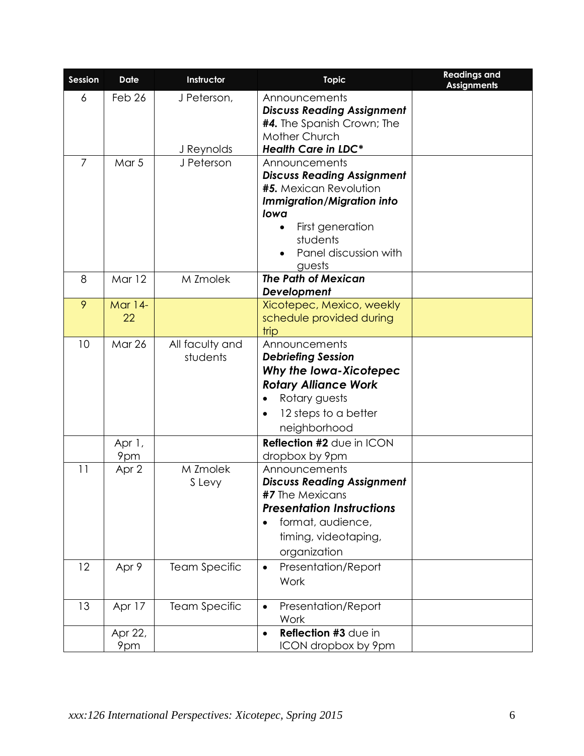| Session | <b>Date</b>               | Instructor                  | <b>Topic</b>                                                                                                                                                                                 | <b>Readings and</b><br><b>Assignments</b> |
|---------|---------------------------|-----------------------------|----------------------------------------------------------------------------------------------------------------------------------------------------------------------------------------------|-------------------------------------------|
| 6       | Feb 26                    | J Peterson,<br>J Reynolds   | Announcements<br><b>Discuss Reading Assignment</b><br><b>#4.</b> The Spanish Crown; The<br>Mother Church<br><b>Health Care in LDC*</b>                                                       |                                           |
| 7       | Mar 5                     | J Peterson                  | Announcements<br><b>Discuss Reading Assignment</b><br>#5. Mexican Revolution<br><b>Immigration/Migration into</b><br>lowa<br>First generation<br>students<br>Panel discussion with<br>guests |                                           |
| 8       | Mar 12                    | M Zmolek                    | <b>The Path of Mexican</b><br>Development                                                                                                                                                    |                                           |
| 9       | <b>Mar 14-</b><br>22      |                             | Xicotepec, Mexico, weekly<br>schedule provided during<br>trip                                                                                                                                |                                           |
| 10      | <b>Mar 26</b>             | All faculty and<br>students | Announcements<br><b>Debriefing Session</b><br>Why the lowa-Xicotepec<br><b>Rotary Alliance Work</b><br>Rotary guests<br>$\bullet$<br>12 steps to a better<br>$\bullet$<br>neighborhood       |                                           |
|         | Apr 1,<br>9 <sub>pm</sub> |                             | <b>Reflection #2 due in ICON</b><br>dropbox by 9pm                                                                                                                                           |                                           |
| 11      | Apr 2                     | M Zmolek<br>S Levy          | Announcements<br><b>Discuss Reading Assignment</b><br><b>#7</b> The Mexicans<br><b>Presentation Instructions</b><br>format, audience,<br>timing, videotaping,<br>organization                |                                           |
| 12      | Apr 9                     | <b>Team Specific</b>        | Presentation/Report<br>$\bullet$<br>Work                                                                                                                                                     |                                           |
| 13      | Apr 17                    | <b>Team Specific</b>        | Presentation/Report<br>$\bullet$<br>Work                                                                                                                                                     |                                           |
|         | Apr 22,<br>9pm            |                             | Reflection #3 due in<br>$\bullet$<br>ICON dropbox by 9pm                                                                                                                                     |                                           |
|         |                           |                             |                                                                                                                                                                                              |                                           |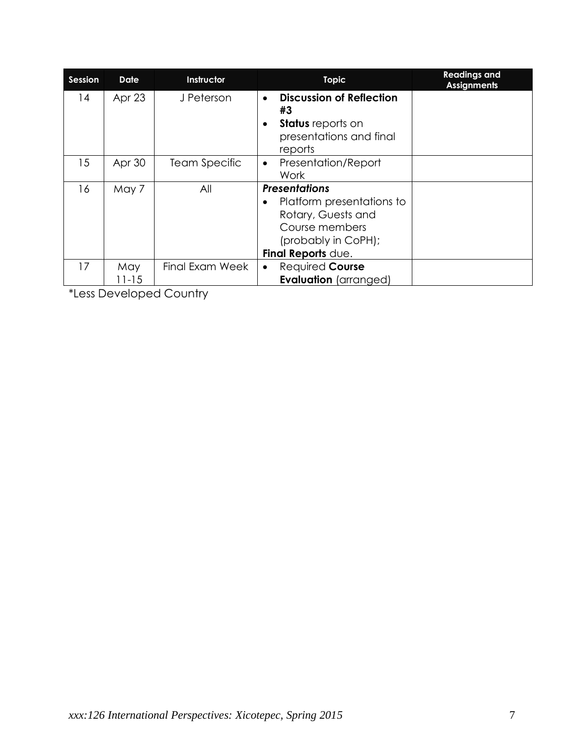| <b>Session</b> | <b>Date</b>      | Instructor           | <b>Topic</b>                                                                                                                           | <b>Readings and</b><br><b>Assignments</b> |
|----------------|------------------|----------------------|----------------------------------------------------------------------------------------------------------------------------------------|-------------------------------------------|
| 14             | Apr 23           | J Peterson           | <b>Discussion of Reflection</b><br>$\bullet$<br>#3<br><b>Status</b> reports on<br>٠<br>presentations and final<br>reports              |                                           |
| 15             | Apr 30           | <b>Team Specific</b> | Presentation/Report<br>$\bullet$<br>Work                                                                                               |                                           |
| 16             | May 7            | All                  | <b>Presentations</b><br>Platform presentations to<br>Rotary, Guests and<br>Course members<br>(probably in CoPH);<br>Final Reports due. |                                           |
| 17             | May<br>$11 - 15$ | Final Exam Week      | Required Course<br>$\bullet$<br><b>Evaluation</b> (arranged)                                                                           |                                           |

\*Less Developed Country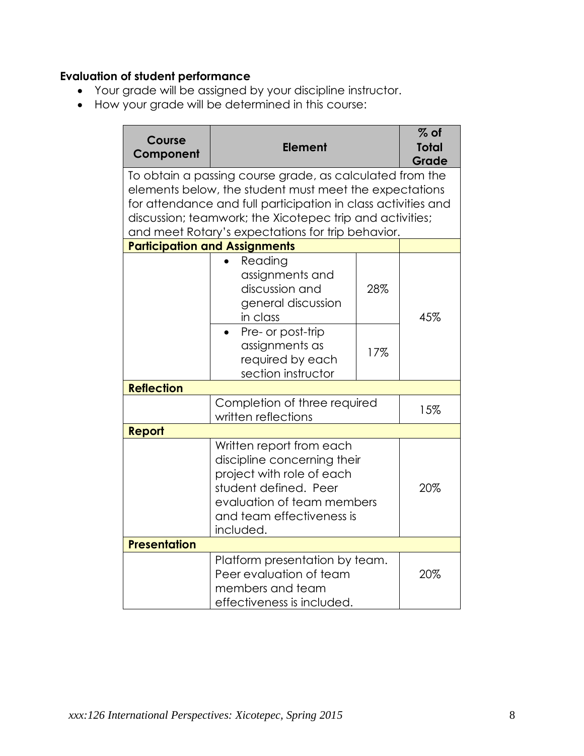# **Evaluation of student performance**

- Your grade will be assigned by your discipline instructor.
- How your grade will be determined in this course:

| Course<br>Component                                                                                                                                                                                                                                                                                  | <b>Element</b>                                                                                              |     | $%$ of<br><b>Total</b><br>Grade |  |
|------------------------------------------------------------------------------------------------------------------------------------------------------------------------------------------------------------------------------------------------------------------------------------------------------|-------------------------------------------------------------------------------------------------------------|-----|---------------------------------|--|
| To obtain a passing course grade, as calculated from the<br>elements below, the student must meet the expectations<br>for attendance and full participation in class activities and<br>discussion; teamwork; the Xicotepec trip and activities;<br>and meet Rotary's expectations for trip behavior. |                                                                                                             |     |                                 |  |
|                                                                                                                                                                                                                                                                                                      | <b>Participation and Assignments</b>                                                                        |     |                                 |  |
|                                                                                                                                                                                                                                                                                                      | Reading<br>assignments and<br>discussion and<br>general discussion<br>in class                              | 28% | 45%                             |  |
|                                                                                                                                                                                                                                                                                                      | Pre- or post-trip<br>assignments as<br>required by each<br>section instructor                               | 17% |                                 |  |
| <b>Reflection</b>                                                                                                                                                                                                                                                                                    |                                                                                                             |     |                                 |  |
|                                                                                                                                                                                                                                                                                                      | Completion of three required<br>written reflections                                                         |     |                                 |  |
| Report                                                                                                                                                                                                                                                                                               |                                                                                                             |     |                                 |  |
| Written report from each<br>discipline concerning their<br>project with role of each<br>student defined. Peer<br>evaluation of team members<br>and team effectiveness is<br>included.                                                                                                                |                                                                                                             |     | 20%                             |  |
| <b>Presentation</b>                                                                                                                                                                                                                                                                                  |                                                                                                             |     |                                 |  |
|                                                                                                                                                                                                                                                                                                      | Platform presentation by team.<br>Peer evaluation of team<br>members and team<br>effectiveness is included. | 20% |                                 |  |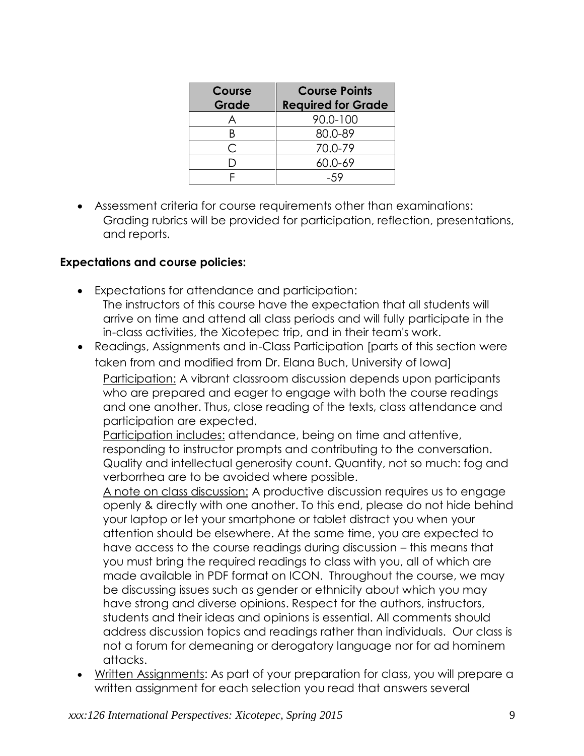| Course | <b>Course Points</b>      |  |
|--------|---------------------------|--|
| Grade  | <b>Required for Grade</b> |  |
|        | 90.0-100                  |  |
|        | 80.0-89                   |  |
| ⌒      | 70.0-79                   |  |
|        | 60.0-69                   |  |
|        |                           |  |

 Assessment criteria for course requirements other than examinations: Grading rubrics will be provided for participation, reflection, presentations, and reports.

# **Expectations and course policies:**

- Expectations for attendance and participation: The instructors of this course have the expectation that all students will arrive on time and attend all class periods and will fully participate in the in-class activities, the Xicotepec trip, and in their team's work.
- Readings, Assignments and in-Class Participation [parts of this section were taken from and modified from Dr. Elana Buch, University of Iowa]

Participation: A vibrant classroom discussion depends upon participants who are prepared and eager to engage with both the course readings and one another. Thus, close reading of the texts, class attendance and participation are expected.

Participation includes: attendance, being on time and attentive, responding to instructor prompts and contributing to the conversation. Quality and intellectual generosity count. Quantity, not so much: fog and verborrhea are to be avoided where possible.

A note on class discussion: A productive discussion requires us to engage openly & directly with one another. To this end, please do not hide behind your laptop or let your smartphone or tablet distract you when your attention should be elsewhere. At the same time, you are expected to have access to the course readings during discussion – this means that you must bring the required readings to class with you, all of which are made available in PDF format on ICON. Throughout the course, we may be discussing issues such as gender or ethnicity about which you may have strong and diverse opinions. Respect for the authors, instructors, students and their ideas and opinions is essential. All comments should address discussion topics and readings rather than individuals. Our class is not a forum for demeaning or derogatory language nor for ad hominem attacks.

 Written Assignments: As part of your preparation for class, you will prepare a written assignment for each selection you read that answers several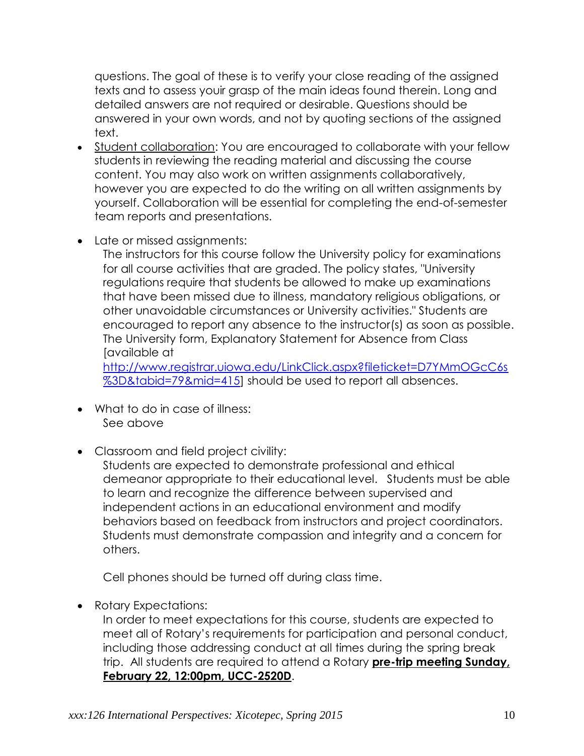questions. The goal of these is to verify your close reading of the assigned texts and to assess youir grasp of the main ideas found therein. Long and detailed answers are not required or desirable. Questions should be answered in your own words, and not by quoting sections of the assigned text.

- Student collaboration: You are encouraged to collaborate with your fellow students in reviewing the reading material and discussing the course content. You may also work on written assignments collaboratively, however you are expected to do the writing on all written assignments by yourself. Collaboration will be essential for completing the end-of-semester team reports and presentations.
- Late or missed assignments:

The instructors for this course follow the University policy for examinations for all course activities that are graded. The policy states, "University regulations require that students be allowed to make up examinations that have been missed due to illness, mandatory religious obligations, or other unavoidable circumstances or University activities." Students are encouraged to report any absence to the instructor(s) as soon as possible. The University form, [Explanatory Statement for Absence from Class](file:///C:/Users/hseaba/Documents/Docs100/Local%20Settings/Local%20Settings/2004%20Fall/Course%20Info/absence.pdf) [available at

[http://www.registrar.uiowa.edu/LinkClick.aspx?fileticket=D7YMmOGcC6s](http://www.registrar.uiowa.edu/LinkClick.aspx?fileticket=D7YMmOGcC6s%3D&tabid=79&mid=415) [%3D&tabid=79&mid=415\]](http://www.registrar.uiowa.edu/LinkClick.aspx?fileticket=D7YMmOGcC6s%3D&tabid=79&mid=415) should be used to report all absences.

- What to do in case of illness: See above
- Classroom and field project civility:

Students are expected to demonstrate professional and ethical demeanor appropriate to their educational level. Students must be able to learn and recognize the difference between supervised and independent actions in an educational environment and modify behaviors based on feedback from instructors and project coordinators. Students must demonstrate compassion and integrity and a concern for others.

Cell phones should be turned off during class time.

• Rotary Expectations:

In order to meet expectations for this course, students are expected to meet all of Rotary's requirements for participation and personal conduct, including those addressing conduct at all times during the spring break trip. All students are required to attend a Rotary **pre-trip meeting Sunday, February 22, 12:00pm, UCC-2520D**.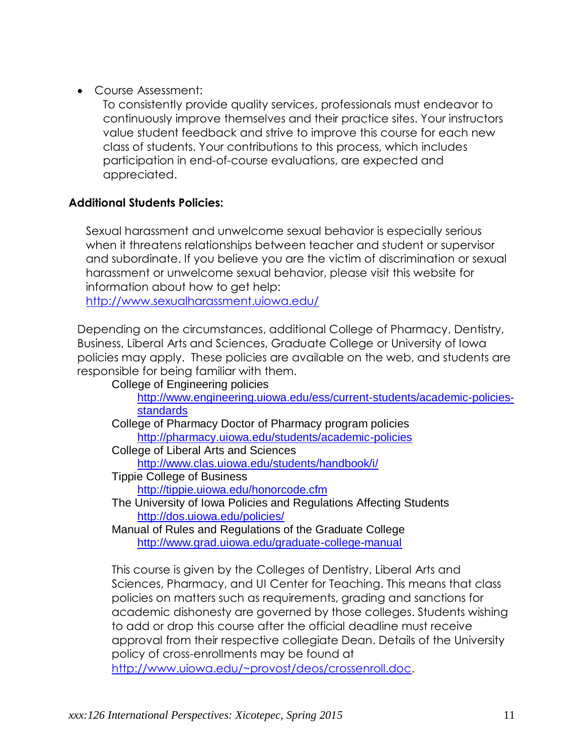Course Assessment:

To consistently provide quality services, professionals must endeavor to continuously improve themselves and their practice sites. Your instructors value student feedback and strive to improve this course for each new class of students. Your contributions to this process, which includes participation in end-of-course evaluations, are expected and appreciated.

# **Additional Students Policies:**

Sexual harassment and unwelcome sexual behavior is especially serious when it threatens relationships between teacher and student or supervisor and subordinate. If you believe you are the victim of discrimination or sexual harassment or unwelcome sexual behavior, please visit this website for information about how to get help:

<http://www.sexualharassment.uiowa.edu/>

Depending on the circumstances, additional College of Pharmacy, Dentistry, Business, Liberal Arts and Sciences, Graduate College or University of Iowa policies may apply. These policies are available on the web, and students are responsible for being familiar with them.

College of Engineering policies

[http://www.engineering.uiowa.edu/ess/current-students/academic-policies](http://www.engineering.uiowa.edu/ess/current-students/academic-policies-standards)[standards](http://www.engineering.uiowa.edu/ess/current-students/academic-policies-standards)

College of Pharmacy Doctor of Pharmacy program policies <http://pharmacy.uiowa.edu/students/academic-policies>

College of Liberal Arts and Sciences

<http://www.clas.uiowa.edu/students/handbook/i/>

Tippie College of Business

<http://tippie.uiowa.edu/honorcode.cfm>

The University of Iowa Policies and Regulations Affecting Students <http://dos.uiowa.edu/policies/>

Manual of Rules and Regulations of the Graduate College <http://www.grad.uiowa.edu/graduate-college-manual>

This course is given by the Colleges of Dentistry, Liberal Arts and Sciences, Pharmacy, and UI Center for Teaching. This means that class policies on matters such as requirements, grading and sanctions for academic dishonesty are governed by those colleges. Students wishing to add or drop this course after the official deadline must receive approval from their respective collegiate Dean. Details of the University policy of cross-enrollments may be found at

[http://www.uiowa.edu/~provost/deos/crossenroll.doc.](http://www.uiowa.edu/~provost/deos/crossenroll.doc)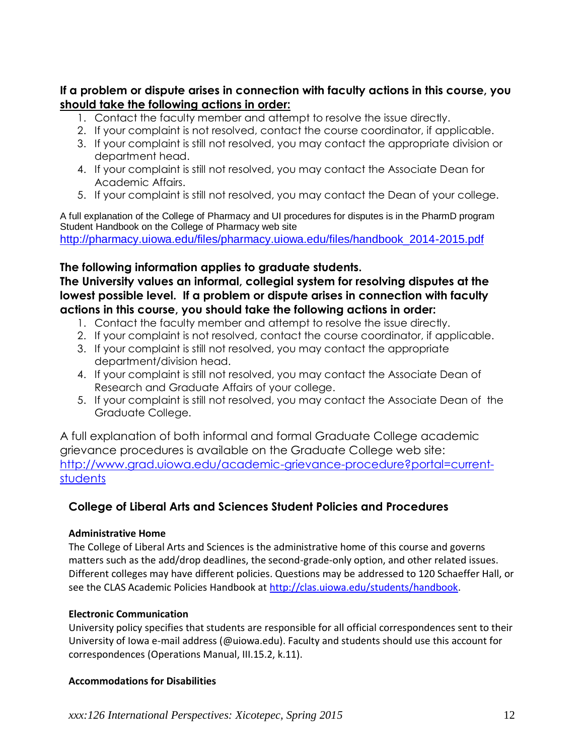**If a problem or dispute arises in connection with faculty actions in this course, you should take the following actions in order:**

- 1. Contact the faculty member and attempt to resolve the issue directly.
- 2. If your complaint is not resolved, contact the course coordinator, if applicable.
- 3. If your complaint is still not resolved, you may contact the appropriate division or department head.
- 4. If your complaint is still not resolved, you may contact the Associate Dean for Academic Affairs.
- 5. If your complaint is still not resolved, you may contact the Dean of your college.

A full explanation of the College of Pharmacy and UI procedures for disputes is in the PharmD program Student Handbook on the College of Pharmacy web site [http://pharmacy.uiowa.edu/files/pharmacy.uiowa.edu/files/handbook\\_2014-2015.pdf](http://pharmacy.uiowa.edu/files/pharmacy.uiowa.edu/files/handbook_2014-2015.pdf)

### **The following information applies to graduate students.**

**The University values an informal, collegial system for resolving disputes at the lowest possible level. If a problem or dispute arises in connection with faculty actions in this course, you should take the following actions in order:**

- 1. Contact the faculty member and attempt to resolve the issue directly.
- 2. If your complaint is not resolved, contact the course coordinator, if applicable.
- 3. If your complaint is still not resolved, you may contact the appropriate department/division head.
- 4. If your complaint is still not resolved, you may contact the Associate Dean of Research and Graduate Affairs of your college.
- 5. If your complaint is still not resolved, you may contact the Associate Dean of the Graduate College.

A full explanation of both informal and formal Graduate College academic grievance procedures is available on the Graduate College web site: [http://www.grad.uiowa.edu/academic-grievance-procedure?portal=current](http://www.grad.uiowa.edu/academic-grievance-procedure?portal=current-students)**[students](http://www.grad.uiowa.edu/academic-grievance-procedure?portal=current-students)** 

# **College of Liberal Arts and Sciences Student Policies and Procedures**

#### **Administrative Home**

The College of Liberal Arts and Sciences is the administrative home of this course and governs matters such as the add/drop deadlines, the second-grade-only option, and other related issues. Different colleges may have different policies. Questions may be addressed to 120 Schaeffer Hall, or see the CLAS Academic Policies Handbook at [http://clas.uiowa.edu/students/handbook.](http://clas.uiowa.edu/students/handbook)

### **Electronic Communication**

University policy specifies that students are responsible for all official correspondences sent to their University of Iowa e-mail address (@uiowa.edu). Faculty and students should use this account for correspondences (Operations Manual, III.15.2, k.11).

#### **Accommodations for Disabilities**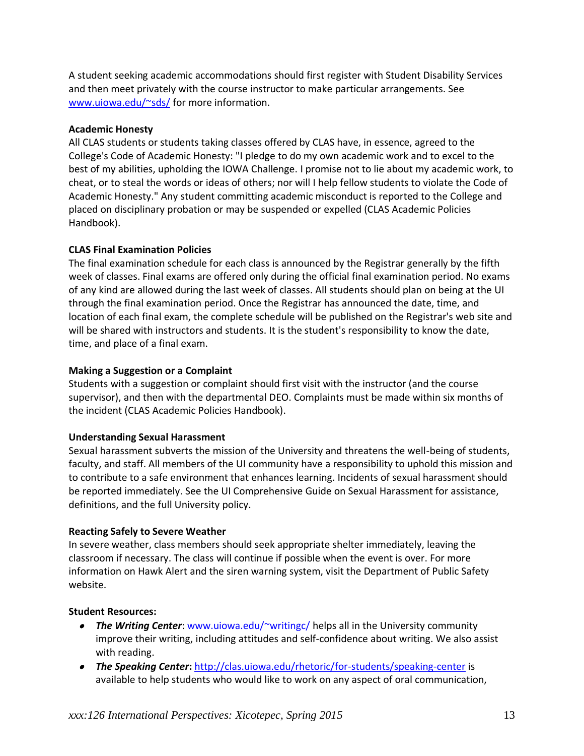A student seeking academic accommodations should first register with Student Disability Services and then meet privately with the course instructor to make particular arrangements. See [www.uiowa.edu/~sds/](http://www.uiowa.edu/~sds/) for more information.

#### **Academic Honesty**

All CLAS students or students taking classes offered by CLAS have, in essence, agreed to the College's Code of Academic Honesty: "I pledge to do my own academic work and to excel to the best of my abilities, upholding the IOWA Challenge. I promise not to lie about my academic work, to cheat, or to steal the words or ideas of others; nor will I help fellow students to violate the Code of Academic Honesty." Any student committing academic misconduct is reported to the College and placed on disciplinary probation or may be suspended or expelled (CLAS Academic Policies Handbook).

#### **CLAS Final Examination Policies**

The final examination schedule for each class is announced by the Registrar generally by the fifth week of classes. Final exams are offered only during the official final examination period. No exams of any kind are allowed during the last week of classes. All students should plan on being at the UI through the final examination period. Once the Registrar has announced the date, time, and location of each final exam, the complete schedule will be published on the Registrar's web site and will be shared with instructors and students. It is the student's responsibility to know the date, time, and place of a final exam.

#### **Making a Suggestion or a Complaint**

Students with a suggestion or complaint should first visit with the instructor (and the course supervisor), and then with the departmental DEO. Complaints must be made within six months of the incident (CLAS Academic Policies Handbook).

### **Understanding Sexual Harassment**

Sexual harassment subverts the mission of the University and threatens the well-being of students, faculty, and staff. All members of the UI community have a responsibility to uphold this mission and to contribute to a safe environment that enhances learning. Incidents of sexual harassment should be reported immediately. See the UI Comprehensive Guide on Sexual Harassment for assistance, definitions, and the full University policy.

#### **Reacting Safely to Severe Weather**

In severe weather, class members should seek appropriate shelter immediately, leaving the classroom if necessary. The class will continue if possible when the event is over. For more information on Hawk Alert and the siren warning system, visit the Department of Public Safety website.

### **Student Resources:**

- *The Writing Center*: [www.uiowa.edu/~writingc/](http://www.uiowa.edu/~writingc/) helps all in the University community improve their writing, including attitudes and self-confidence about writing. We also assist with reading.
- **The Speaking Center:** <http://clas.uiowa.edu/rhetoric/for-students/speaking-center> is available to help students who would like to work on any aspect of oral communication,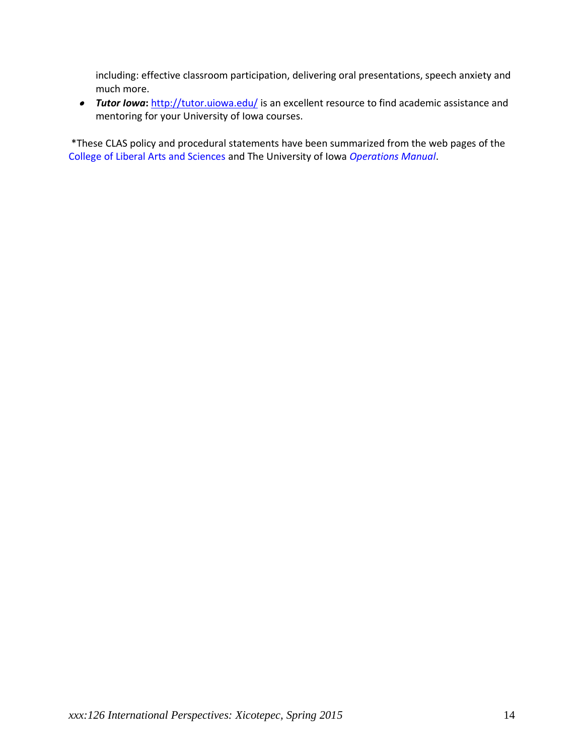including: effective classroom participation, delivering oral presentations, speech anxiety and much more.

**Tutor Iowa:** <http://tutor.uiowa.edu/> is an excellent resource to find academic assistance and mentoring for your University of Iowa courses.

\*These CLAS policy and procedural statements have been summarized from the web pages of the [College of Liberal Arts and Sciences](http://www.clas.uiowa.edu/) and The University of Iowa *[Operations Manual](http://www.uiowa.edu/~our/opmanual/index.html)*.